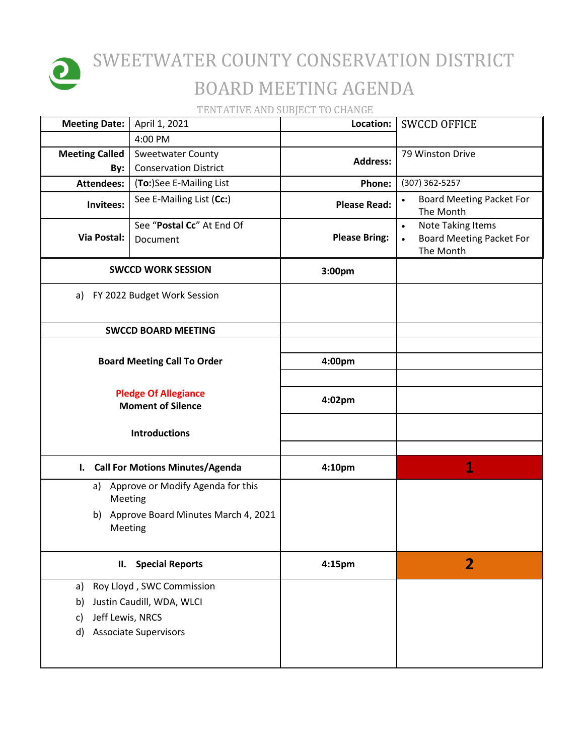

## SWEETWATER COUNTY CONSERVATION DISTRICT BOARD MEETING AGENDA

TENTATIVE AND SUBJECT TO CHANGE

| <b>Meeting Date:</b>                                    | April 1, 2021                                            | Location:            | <b>SWCCD OFFICE</b>                                                                                |
|---------------------------------------------------------|----------------------------------------------------------|----------------------|----------------------------------------------------------------------------------------------------|
|                                                         | 4:00 PM                                                  |                      |                                                                                                    |
| <b>Meeting Called</b><br>By:                            | <b>Sweetwater County</b><br><b>Conservation District</b> | <b>Address:</b>      | 79 Winston Drive                                                                                   |
| <b>Attendees:</b>                                       | (To:)See E-Mailing List                                  | Phone:               | (307) 362-5257                                                                                     |
| Invitees:                                               | See E-Mailing List (Cc:)                                 | <b>Please Read:</b>  | <b>Board Meeting Packet For</b><br>$\bullet$<br>The Month                                          |
| Via Postal:                                             | See "Postal Cc" At End Of<br>Document                    | <b>Please Bring:</b> | <b>Note Taking Items</b><br>$\bullet$<br><b>Board Meeting Packet For</b><br>$\bullet$<br>The Month |
| <b>SWCCD WORK SESSION</b>                               |                                                          | 3:00pm               |                                                                                                    |
| a) FY 2022 Budget Work Session                          |                                                          |                      |                                                                                                    |
|                                                         | <b>SWCCD BOARD MEETING</b>                               |                      |                                                                                                    |
|                                                         |                                                          |                      |                                                                                                    |
|                                                         | <b>Board Meeting Call To Order</b>                       | 4:00pm               |                                                                                                    |
|                                                         |                                                          |                      |                                                                                                    |
| <b>Pledge Of Allegiance</b><br><b>Moment of Silence</b> |                                                          | 4:02pm               |                                                                                                    |
| <b>Introductions</b>                                    |                                                          |                      |                                                                                                    |
| <b>Call For Motions Minutes/Agenda</b><br>ı.            |                                                          | 4:10pm               | 1                                                                                                  |
| a)<br>Meeting                                           | Approve or Modify Agenda for this                        |                      |                                                                                                    |
| b)<br>Meeting                                           | Approve Board Minutes March 4, 2021                      |                      |                                                                                                    |
|                                                         | <b>Special Reports</b><br>II.                            |                      | $\mathbf{2}$                                                                                       |
| a)                                                      | Roy Lloyd, SWC Commission                                |                      |                                                                                                    |
| Justin Caudill, WDA, WLCI<br>b)                         |                                                          |                      |                                                                                                    |
| Jeff Lewis, NRCS<br>c)                                  |                                                          |                      |                                                                                                    |
| <b>Associate Supervisors</b><br>d)                      |                                                          |                      |                                                                                                    |
|                                                         |                                                          |                      |                                                                                                    |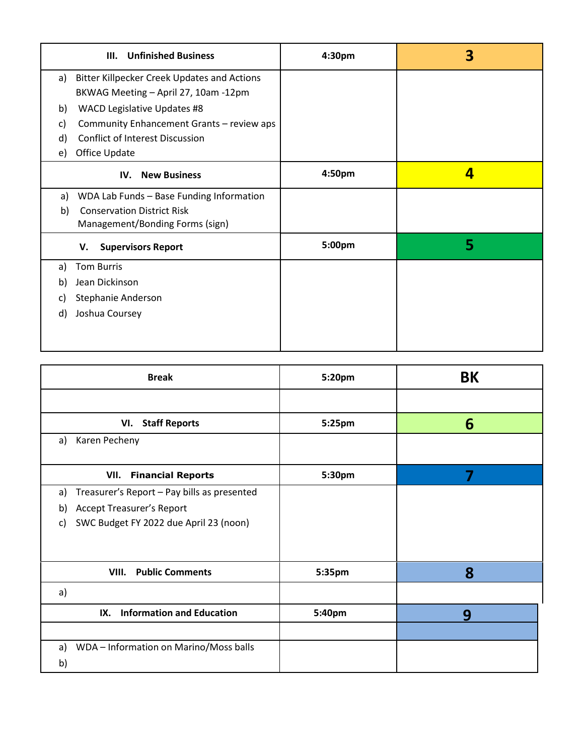| <b>Unfinished Business</b><br>III.                                                                                                                                                                  | 4:30 <sub>pm</sub> | 3 |
|-----------------------------------------------------------------------------------------------------------------------------------------------------------------------------------------------------|--------------------|---|
| <b>Bitter Killpecker Creek Updates and Actions</b><br>a)                                                                                                                                            |                    |   |
| BKWAG Meeting - April 27, 10am -12pm<br>WACD Legislative Updates #8<br>b)<br>Community Enhancement Grants - review aps<br>C)<br><b>Conflict of Interest Discussion</b><br>d)<br>Office Update<br>e) |                    |   |
| <b>New Business</b><br>IV.                                                                                                                                                                          | 4:50pm             | 4 |
| WDA Lab Funds - Base Funding Information<br>a)<br><b>Conservation District Risk</b><br>b)<br>Management/Bonding Forms (sign)                                                                        |                    |   |
| <b>Supervisors Report</b><br>v.                                                                                                                                                                     | 5:00pm             | 5 |
| <b>Tom Burris</b><br>a)                                                                                                                                                                             |                    |   |
| Jean Dickinson<br>b)                                                                                                                                                                                |                    |   |
| Stephanie Anderson<br>C)                                                                                                                                                                            |                    |   |
| Joshua Coursey<br>d)                                                                                                                                                                                |                    |   |

| <b>Break</b>                                                                                                                                | 5:20pm | <b>BK</b> |
|---------------------------------------------------------------------------------------------------------------------------------------------|--------|-----------|
|                                                                                                                                             |        |           |
| <b>Staff Reports</b><br>VI.                                                                                                                 | 5:25pm | 6         |
| Karen Pecheny<br>a)                                                                                                                         |        |           |
| VII.<br><b>Financial Reports</b>                                                                                                            | 5:30pm | 7         |
| Treasurer's Report - Pay bills as presented<br>a)<br><b>Accept Treasurer's Report</b><br>b)<br>SWC Budget FY 2022 due April 23 (noon)<br>C) |        |           |
| <b>Public Comments</b><br>VIII.                                                                                                             | 5:35pm | 8         |
| a)                                                                                                                                          |        |           |
| <b>Information and Education</b><br>IX.                                                                                                     | 5:40pm | 9         |
|                                                                                                                                             |        |           |
| WDA - Information on Marino/Moss balls<br>a)<br>b)                                                                                          |        |           |